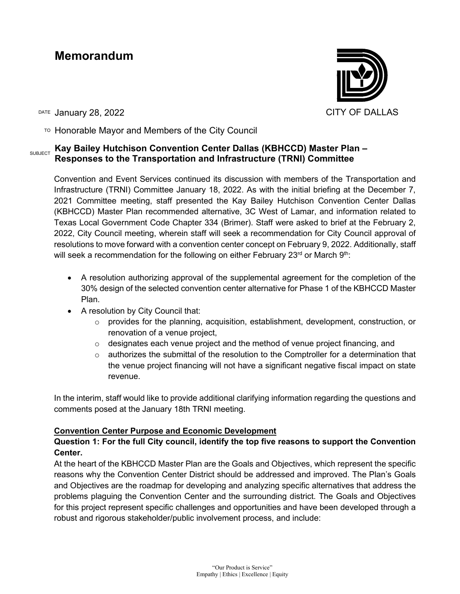# **Memorandum**



DATE January 28, 2022 **CITY OF DALLAS** 

 $T^{\circ}$  Honorable Mayor and Members of the City Council

## SUBJECT **Kay Bailey Hutchison Convention Center Dallas (KBHCCD) Master Plan – Responses to the Transportation and Infrastructure (TRNI) Committee**

Convention and Event Services continued its discussion with members of the Transportation and Infrastructure (TRNI) Committee January 18, 2022. As with the initial briefing at the December 7, 2021 Committee meeting, staff presented the Kay Bailey Hutchison Convention Center Dallas (KBHCCD) Master Plan recommended alternative, 3C West of Lamar, and information related to Texas Local Government Code Chapter 334 (Brimer). Staff were asked to brief at the February 2, 2022, City Council meeting, wherein staff will seek a recommendation for City Council approval of resolutions to move forward with a convention center concept on February 9, 2022. Additionally, staff will seek a recommendation for the following on either February 23<sup>rd</sup> or March 9<sup>th</sup>:

- A resolution authorizing approval of the supplemental agreement for the completion of the 30% design of the selected convention center alternative for Phase 1 of the KBHCCD Master Plan.
- A resolution by City Council that:
	- o provides for the planning, acquisition, establishment, development, construction, or renovation of a venue project,
	- $\circ$  designates each venue project and the method of venue project financing, and
	- $\circ$  authorizes the submittal of the resolution to the Comptroller for a determination that the venue project financing will not have a significant negative fiscal impact on state revenue.

In the interim, staff would like to provide additional clarifying information regarding the questions and comments posed at the January 18th TRNI meeting.

## **Convention Center Purpose and Economic Development**

## **Question 1: For the full City council, identify the top five reasons to support the Convention Center.**

At the heart of the KBHCCD Master Plan are the Goals and Objectives, which represent the specific reasons why the Convention Center District should be addressed and improved. The Plan's Goals and Objectives are the roadmap for developing and analyzing specific alternatives that address the problems plaguing the Convention Center and the surrounding district. The Goals and Objectives for this project represent specific challenges and opportunities and have been developed through a robust and rigorous stakeholder/public involvement process, and include: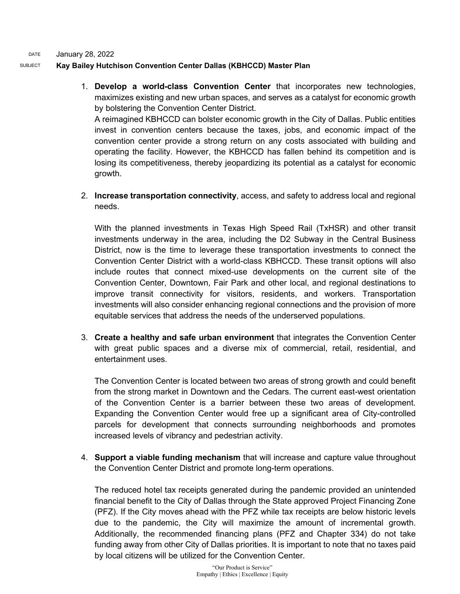DATE January 28, 2022

#### SUBJECT **Kay Bailey Hutchison Convention Center Dallas (KBHCCD) Master Plan**

1. **Develop a world-class Convention Center** that incorporates new technologies, maximizes existing and new urban spaces, and serves as a catalyst for economic growth by bolstering the Convention Center District. A reimagined KBHCCD can bolster economic growth in the City of Dallas. Public entities

invest in convention centers because the taxes, jobs, and economic impact of the convention center provide a strong return on any costs associated with building and operating the facility. However, the KBHCCD has fallen behind its competition and is losing its competitiveness, thereby jeopardizing its potential as a catalyst for economic growth.

2. **Increase transportation connectivity**, access, and safety to address local and regional needs.

With the planned investments in Texas High Speed Rail (TxHSR) and other transit investments underway in the area, including the D2 Subway in the Central Business District, now is the time to leverage these transportation investments to connect the Convention Center District with a world-class KBHCCD. These transit options will also include routes that connect mixed-use developments on the current site of the Convention Center, Downtown, Fair Park and other local, and regional destinations to improve transit connectivity for visitors, residents, and workers. Transportation investments will also consider enhancing regional connections and the provision of more equitable services that address the needs of the underserved populations.

3. **Create a healthy and safe urban environment** that integrates the Convention Center with great public spaces and a diverse mix of commercial, retail, residential, and entertainment uses.

The Convention Center is located between two areas of strong growth and could benefit from the strong market in Downtown and the Cedars. The current east-west orientation of the Convention Center is a barrier between these two areas of development. Expanding the Convention Center would free up a significant area of City-controlled parcels for development that connects surrounding neighborhoods and promotes increased levels of vibrancy and pedestrian activity.

4. **Support a viable funding mechanism** that will increase and capture value throughout the Convention Center District and promote long-term operations.

The reduced hotel tax receipts generated during the pandemic provided an unintended financial benefit to the City of Dallas through the State approved Project Financing Zone (PFZ). If the City moves ahead with the PFZ while tax receipts are below historic levels due to the pandemic, the City will maximize the amount of incremental growth. Additionally, the recommended financing plans (PFZ and Chapter 334) do not take funding away from other City of Dallas priorities. It is important to note that no taxes paid by local citizens will be utilized for the Convention Center.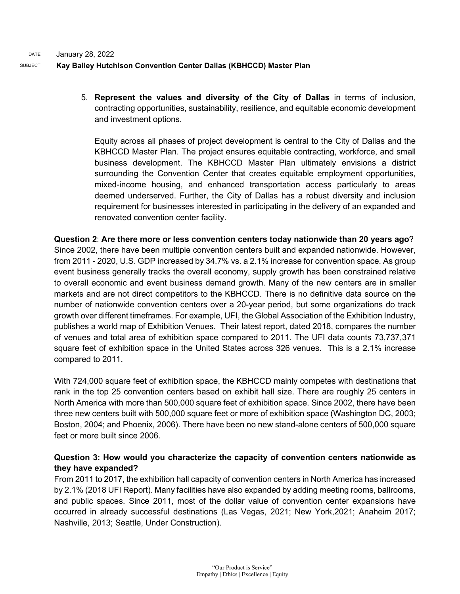## SUBJECT **Kay Bailey Hutchison Convention Center Dallas (KBHCCD) Master Plan**

5. **Represent the values and diversity of the City of Dallas** in terms of inclusion, contracting opportunities, sustainability, resilience, and equitable economic development and investment options.

Equity across all phases of project development is central to the City of Dallas and the KBHCCD Master Plan. The project ensures equitable contracting, workforce, and small business development. The KBHCCD Master Plan ultimately envisions a district surrounding the Convention Center that creates equitable employment opportunities, mixed-income housing, and enhanced transportation access particularly to areas deemed underserved. Further, the City of Dallas has a robust diversity and inclusion requirement for businesses interested in participating in the delivery of an expanded and renovated convention center facility.

**Question 2**: **Are there more or less convention centers today nationwide than 20 years ago**? Since 2002, there have been multiple convention centers built and expanded nationwide. However, from 2011 - 2020, U.S. GDP increased by 34.7% vs. a 2.1% increase for convention space. As group event business generally tracks the overall economy, supply growth has been constrained relative to overall economic and event business demand growth. Many of the new centers are in smaller markets and are not direct competitors to the KBHCCD. There is no definitive data source on the number of nationwide convention centers over a 20-year period, but some organizations do track growth over different timeframes. For example, UFI, the Global Association of the Exhibition Industry, publishes a world map of Exhibition Venues. Their latest report, dated 2018, compares the number of venues and total area of exhibition space compared to 2011. The UFI data counts 73,737,371 square feet of exhibition space in the United States across 326 venues. This is a 2.1% increase compared to 2011.

With 724,000 square feet of exhibition space, the KBHCCD mainly competes with destinations that rank in the top 25 convention centers based on exhibit hall size. There are roughly 25 centers in North America with more than 500,000 square feet of exhibition space. Since 2002, there have been three new centers built with 500,000 square feet or more of exhibition space (Washington DC, 2003; Boston, 2004; and Phoenix, 2006). There have been no new stand-alone centers of 500,000 square feet or more built since 2006.

## **Question 3: How would you characterize the capacity of convention centers nationwide as they have expanded?**

From 2011 to 2017, the exhibition hall capacity of convention centers in North America has increased by 2.1% (2018 UFI Report). Many facilities have also expanded by adding meeting rooms, ballrooms, and public spaces. Since 2011, most of the dollar value of convention center expansions have occurred in already successful destinations (Las Vegas, 2021; New York,2021; Anaheim 2017; Nashville, 2013; Seattle, Under Construction).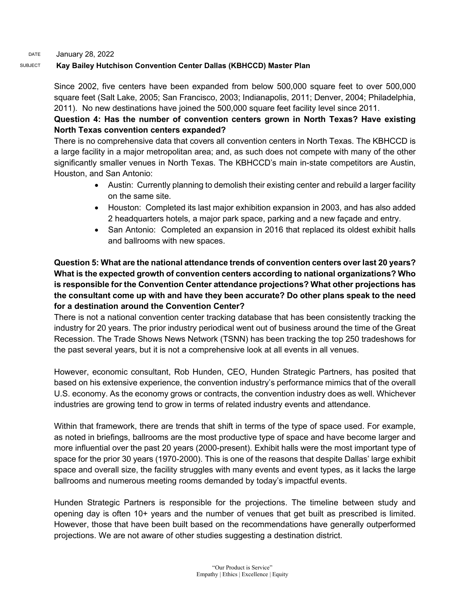#### DATE January 28, 2022

#### SUBJECT **Kay Bailey Hutchison Convention Center Dallas (KBHCCD) Master Plan**

Since 2002, five centers have been expanded from below 500,000 square feet to over 500,000 square feet (Salt Lake, 2005; San Francisco, 2003; Indianapolis, 2011; Denver, 2004; Philadelphia, 2011). No new destinations have joined the 500,000 square feet facility level since 2011.

## **Question 4: Has the number of convention centers grown in North Texas? Have existing North Texas convention centers expanded?**

There is no comprehensive data that covers all convention centers in North Texas. The KBHCCD is a large facility in a major metropolitan area; and, as such does not compete with many of the other significantly smaller venues in North Texas. The KBHCCD's main in-state competitors are Austin, Houston, and San Antonio:

- Austin: Currently planning to demolish their existing center and rebuild a larger facility on the same site.
- Houston: Completed its last major exhibition expansion in 2003, and has also added 2 headquarters hotels, a major park space, parking and a new façade and entry.
- San Antonio: Completed an expansion in 2016 that replaced its oldest exhibit halls and ballrooms with new spaces.

## **Question 5: What are the national attendance trends of convention centers over last 20 years? What is the expected growth of convention centers according to national organizations? Who is responsible for the Convention Center attendance projections? What other projections has the consultant come up with and have they been accurate? Do other plans speak to the need for a destination around the Convention Center?**

There is not a national convention center tracking database that has been consistently tracking the industry for 20 years. The prior industry periodical went out of business around the time of the Great Recession. The Trade Shows News Network (TSNN) has been tracking the top 250 tradeshows for the past several years, but it is not a comprehensive look at all events in all venues.

However, economic consultant, Rob Hunden, CEO, Hunden Strategic Partners, has posited that based on his extensive experience, the convention industry's performance mimics that of the overall U.S. economy. As the economy grows or contracts, the convention industry does as well. Whichever industries are growing tend to grow in terms of related industry events and attendance.

Within that framework, there are trends that shift in terms of the type of space used. For example, as noted in briefings, ballrooms are the most productive type of space and have become larger and more influential over the past 20 years (2000-present). Exhibit halls were the most important type of space for the prior 30 years (1970-2000). This is one of the reasons that despite Dallas' large exhibit space and overall size, the facility struggles with many events and event types, as it lacks the large ballrooms and numerous meeting rooms demanded by today's impactful events.

Hunden Strategic Partners is responsible for the projections. The timeline between study and opening day is often 10+ years and the number of venues that get built as prescribed is limited. However, those that have been built based on the recommendations have generally outperformed projections. We are not aware of other studies suggesting a destination district.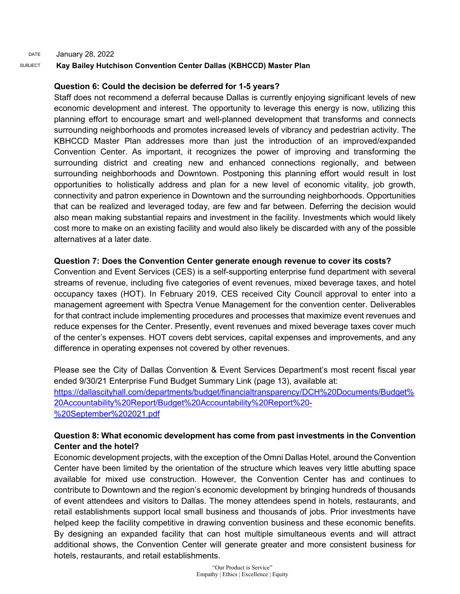DATE January 28, 2022

#### SUBJECT **Kay Bailey Hutchison Convention Center Dallas (KBHCCD) Master Plan**

## **Question 6: Could the decision be deferred for 1-5 years?**

Staff does not recommend a deferral because Dallas is currently enjoying significant levels of new economic development and interest. The opportunity to leverage this energy is now, utilizing this planning effort to encourage smart and well-planned development that transforms and connects surrounding neighborhoods and promotes increased levels of vibrancy and pedestrian activity. The KBHCCD Master Plan addresses more than just the introduction of an improved/expanded Convention Center. As important, it recognizes the power of improving and transforming the surrounding district and creating new and enhanced connections regionally, and between surrounding neighborhoods and Downtown. Postponing this planning effort would result in lost opportunities to holistically address and plan for a new level of economic vitality, job growth, connectivity and patron experience in Downtown and the surrounding neighborhoods. Opportunities that can be realized and leveraged today, are few and far between. Deferring the decision would also mean making substantial repairs and investment in the facility. Investments which would likely cost more to make on an existing facility and would also likely be discarded with any of the possible alternatives at a later date.

#### **Question 7: Does the Convention Center generate enough revenue to cover its costs?**

Convention and Event Services (CES) is a self-supporting enterprise fund department with several streams of revenue, including five categories of event revenues, mixed beverage taxes, and hotel occupancy taxes (HOT). In February 2019, CES received City Council approval to enter into a management agreement with Spectra Venue Management for the convention center. Deliverables for that contract include implementing procedures and processes that maximize event revenues and reduce expenses for the Center. Presently, event revenues and mixed beverage taxes cover much of the center's expenses. HOT covers debt services, capital expenses and improvements, and any difference in operating expenses not covered by other revenues.

Please see the City of Dallas Convention & Event Services Department's most recent fiscal year ended 9/30/21 Enterprise Fund Budget Summary Link (page 13), available at: [https://dallascityhall.com/departments/budget/financialtransparency/DCH%20Documents/Budget%](https://dallascityhall.com/departments/budget/financialtransparency/DCH%20Documents/Budget%20Accountability%20Report/Budget%20Accountability%20Report%20-%20September%202021.pdf) [20Accountability%20Report/Budget%20Accountability%20Report%20-](https://dallascityhall.com/departments/budget/financialtransparency/DCH%20Documents/Budget%20Accountability%20Report/Budget%20Accountability%20Report%20-%20September%202021.pdf) [%20September%202021.pdf](https://dallascityhall.com/departments/budget/financialtransparency/DCH%20Documents/Budget%20Accountability%20Report/Budget%20Accountability%20Report%20-%20September%202021.pdf)

## **Question 8: What economic development has come from past investments in the Convention Center and the hotel?**

Economic development projects, with the exception of the Omni Dallas Hotel, around the Convention Center have been limited by the orientation of the structure which leaves very little abutting space available for mixed use construction. However, the Convention Center has and continues to contribute to Downtown and the region's economic development by bringing hundreds of thousands of event attendees and visitors to Dallas. The money attendees spend in hotels, restaurants, and retail establishments support local small business and thousands of jobs. Prior investments have helped keep the facility competitive in drawing convention business and these economic benefits. By designing an expanded facility that can host multiple simultaneous events and will attract additional shows, the Convention Center will generate greater and more consistent business for hotels, restaurants, and retail establishments.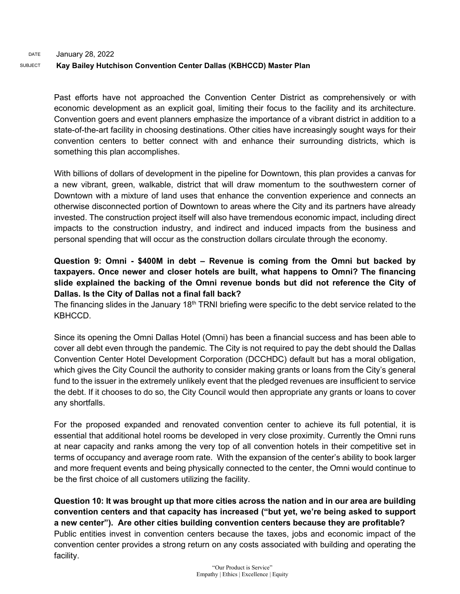Past efforts have not approached the Convention Center District as comprehensively or with economic development as an explicit goal, limiting their focus to the facility and its architecture. Convention goers and event planners emphasize the importance of a vibrant district in addition to a state-of-the-art facility in choosing destinations. Other cities have increasingly sought ways for their convention centers to better connect with and enhance their surrounding districts, which is something this plan accomplishes.

With billions of dollars of development in the pipeline for Downtown, this plan provides a canvas for a new vibrant, green, walkable, district that will draw momentum to the southwestern corner of Downtown with a mixture of land uses that enhance the convention experience and connects an otherwise disconnected portion of Downtown to areas where the City and its partners have already invested. The construction project itself will also have tremendous economic impact, including direct impacts to the construction industry, and indirect and induced impacts from the business and personal spending that will occur as the construction dollars circulate through the economy.

## **Question 9: Omni - \$400M in debt – Revenue is coming from the Omni but backed by taxpayers. Once newer and closer hotels are built, what happens to Omni? The financing slide explained the backing of the Omni revenue bonds but did not reference the City of Dallas. Is the City of Dallas not a final fall back?**

The financing slides in the January 18<sup>th</sup> TRNI briefing were specific to the debt service related to the KBHCCD.

Since its opening the Omni Dallas Hotel (Omni) has been a financial success and has been able to cover all debt even through the pandemic. The City is not required to pay the debt should the Dallas Convention Center Hotel Development Corporation (DCCHDC) default but has a moral obligation, which gives the City Council the authority to consider making grants or loans from the City's general fund to the issuer in the extremely unlikely event that the pledged revenues are insufficient to service the debt. If it chooses to do so, the City Council would then appropriate any grants or loans to cover any shortfalls.

For the proposed expanded and renovated convention center to achieve its full potential, it is essential that additional hotel rooms be developed in very close proximity. Currently the Omni runs at near capacity and ranks among the very top of all convention hotels in their competitive set in terms of occupancy and average room rate. With the expansion of the center's ability to book larger and more frequent events and being physically connected to the center, the Omni would continue to be the first choice of all customers utilizing the facility.

**Question 10: It was brought up that more cities across the nation and in our area are building convention centers and that capacity has increased ("but yet, we're being asked to support a new center"). Are other cities building convention centers because they are profitable?** Public entities invest in convention centers because the taxes, jobs and economic impact of the convention center provides a strong return on any costs associated with building and operating the facility.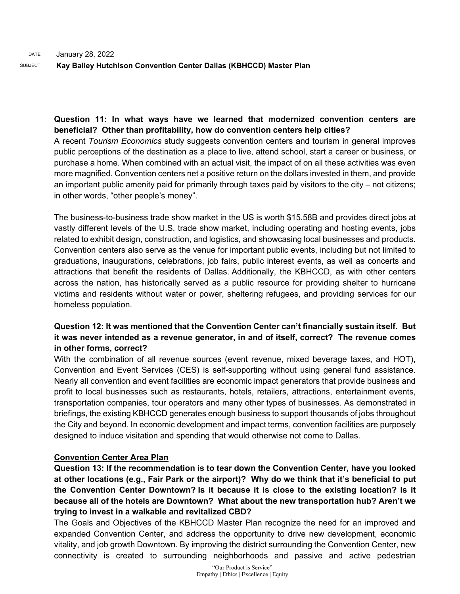**Question 11: In what ways have we learned that modernized convention centers are beneficial? Other than profitability, how do convention centers help cities?**

A recent *Tourism Economics* study suggests convention centers and tourism in general improves public perceptions of the destination as a place to live, attend school, start a career or business, or purchase a home. When combined with an actual visit, the impact of on all these activities was even more magnified. Convention centers net a positive return on the dollars invested in them, and provide an important public amenity paid for primarily through taxes paid by visitors to the city – not citizens; in other words, "other people's money".

The business-to-business trade show market in the US is worth \$15.58B and provides direct jobs at vastly different levels of the U.S. trade show market, including operating and hosting events, jobs related to exhibit design, construction, and logistics, and showcasing local businesses and products. Convention centers also serve as the venue for important public events, including but not limited to graduations, inaugurations, celebrations, job fairs, public interest events, as well as concerts and attractions that benefit the residents of Dallas. Additionally, the KBHCCD, as with other centers across the nation, has historically served as a public resource for providing shelter to hurricane victims and residents without water or power, sheltering refugees, and providing services for our homeless population.

## **Question 12: It was mentioned that the Convention Center can't financially sustain itself. But it was never intended as a revenue generator, in and of itself, correct? The revenue comes in other forms, correct?**

With the combination of all revenue sources (event revenue, mixed beverage taxes, and HOT), Convention and Event Services (CES) is self-supporting without using general fund assistance. Nearly all convention and event facilities are economic impact generators that provide business and profit to local businesses such as restaurants, hotels, retailers, attractions, entertainment events, transportation companies, tour operators and many other types of businesses. As demonstrated in briefings, the existing KBHCCD generates enough business to support thousands of jobs throughout the City and beyond. In economic development and impact terms, convention facilities are purposely designed to induce visitation and spending that would otherwise not come to Dallas.

## **Convention Center Area Plan**

**Question 13: If the recommendation is to tear down the Convention Center, have you looked at other locations (e.g., Fair Park or the airport)? Why do we think that it's beneficial to put the Convention Center Downtown? Is it because it is close to the existing location? Is it because all of the hotels are Downtown? What about the new transportation hub? Aren't we trying to invest in a walkable and revitalized CBD?**

The Goals and Objectives of the KBHCCD Master Plan recognize the need for an improved and expanded Convention Center, and address the opportunity to drive new development, economic vitality, and job growth Downtown. By improving the district surrounding the Convention Center, new connectivity is created to surrounding neighborhoods and passive and active pedestrian